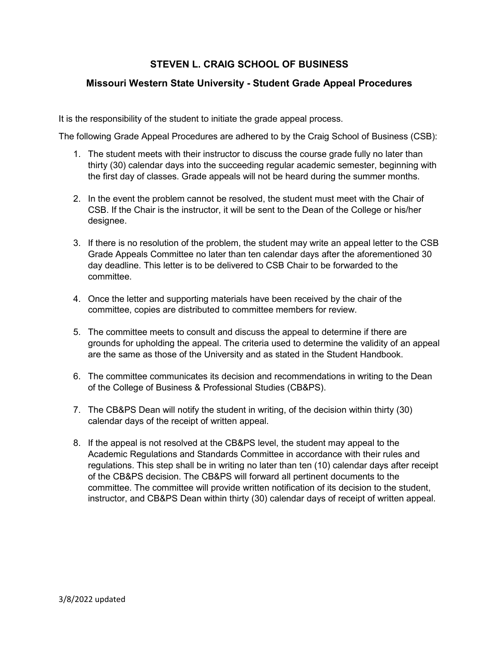# **STEVEN L. CRAIG SCHOOL OF BUSINESS**

#### **Missouri Western State University - Student Grade Appeal Procedures**

It is the responsibility of the student to initiate the grade appeal process.

The following Grade Appeal Procedures are adhered to by the Craig School of Business (CSB):

- 1. The student meets with their instructor to discuss the course grade fully no later than thirty (30) calendar days into the succeeding regular academic semester, beginning with the first day of classes. Grade appeals will not be heard during the summer months.
- 2. In the event the problem cannot be resolved, the student must meet with the Chair of CSB. If the Chair is the instructor, it will be sent to the Dean of the College or his/her designee.
- 3. If there is no resolution of the problem, the student may write an appeal letter to the CSB Grade Appeals Committee no later than ten calendar days after the aforementioned 30 day deadline. This letter is to be delivered to CSB Chair to be forwarded to the committee.
- 4. Once the letter and supporting materials have been received by the chair of the committee, copies are distributed to committee members for review.
- 5. The committee meets to consult and discuss the appeal to determine if there are grounds for upholding the appeal. The criteria used to determine the validity of an appeal are the same as those of the University and as stated in the Student Handbook.
- 6. The committee communicates its decision and recommendations in writing to the Dean of the College of Business & Professional Studies (CB&PS).
- 7. The CB&PS Dean will notify the student in writing, of the decision within thirty (30) calendar days of the receipt of written appeal.
- 8. If the appeal is not resolved at the CB&PS level, the student may appeal to the Academic Regulations and Standards Committee in accordance with their rules and regulations. This step shall be in writing no later than ten (10) calendar days after receipt of the CB&PS decision. The CB&PS will forward all pertinent documents to the committee. The committee will provide written notification of its decision to the student, instructor, and CB&PS Dean within thirty (30) calendar days of receipt of written appeal.